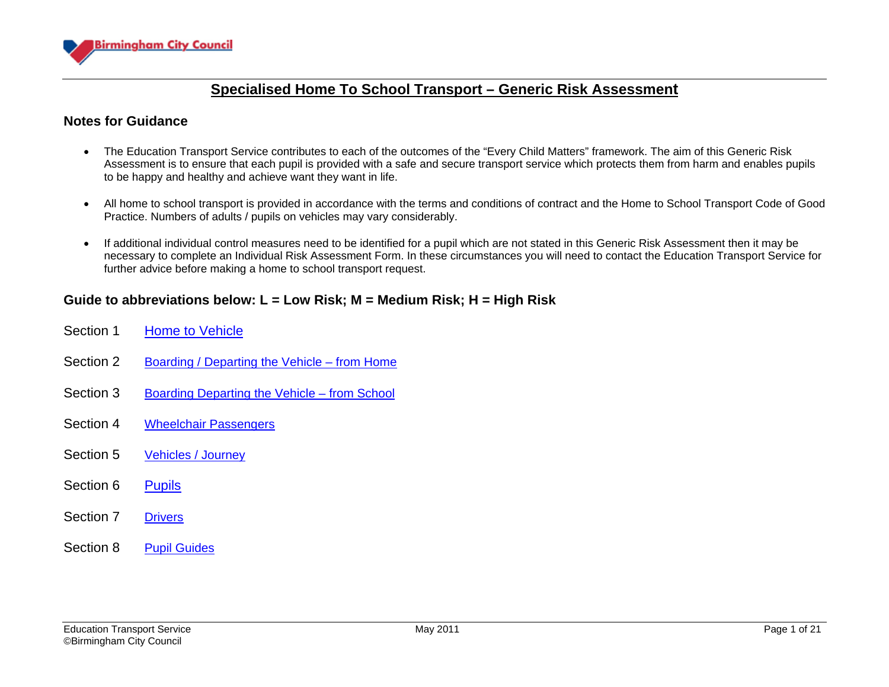

#### **Notes for Guidance**

- The Education Transport Service contributes to each of the outcomes of the "Every Child Matters" framework. The aim of this Generic Risk Assessment is to ensure that each pupil is provided with a safe and secure transport service which protects them from harm and enables pupils to be happy and healthy and achieve want they want in life.
- All home to school transport is provided in accordance with the terms and conditions of contract and the Home to School Transport Code of Good Practice. Numbers of adults / pupils on vehicles may vary considerably.
- If additional individual control measures need to be identified for a pupil which are not stated in this Generic Risk Assessment then it may be necessary to complete an Individual Risk Assessment Form. In these circumstances you will need to contact the Education Transport Service for further advice before making a home to school transport request.

### **Guide to abbreviations below: L = Low Risk; M = Medium Risk; H = High Risk**

- Section 1 [Home to Vehicle](#page-1-0) Section 2 [Boarding / Departing the Vehicle – from Home](#page-4-0) Section 3 [Boarding Departing the Vehicle – from School](#page-6-0) Section 4 [Wheelchair Passengers](#page-7-0) Section 5 [Vehicles / Journey](#page-9-0) Section 6 [Pupils](#page-13-0)
- Section 7 [Drivers](#page-17-0)
- Section 8 [Pupil Guides](#page-18-0)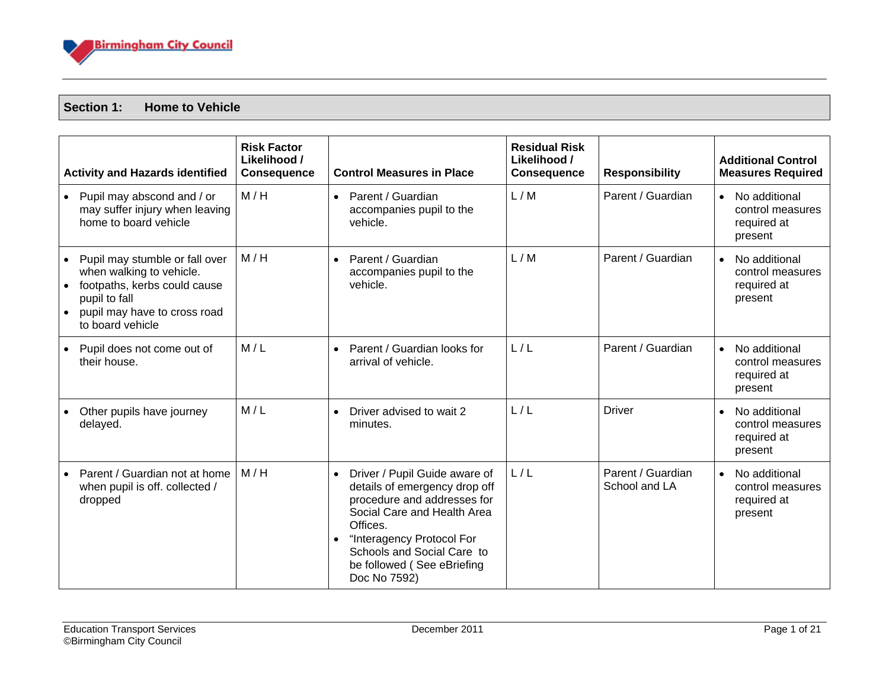

#### <span id="page-1-0"></span>**Section 1: Home to Vehicle**

| <b>Activity and Hazards identified</b>                                                                                                                                                    | <b>Risk Factor</b><br>Likelihood /<br><b>Consequence</b> | <b>Control Measures in Place</b>                                                                                                                                                                                                                               | <b>Residual Risk</b><br>Likelihood /<br><b>Consequence</b> | <b>Responsibility</b>              | <b>Additional Control</b><br><b>Measures Required</b>                    |
|-------------------------------------------------------------------------------------------------------------------------------------------------------------------------------------------|----------------------------------------------------------|----------------------------------------------------------------------------------------------------------------------------------------------------------------------------------------------------------------------------------------------------------------|------------------------------------------------------------|------------------------------------|--------------------------------------------------------------------------|
| • Pupil may abscond and / or<br>may suffer injury when leaving<br>home to board vehicle                                                                                                   | M/H                                                      | Parent / Guardian<br>$\bullet$<br>accompanies pupil to the<br>vehicle.                                                                                                                                                                                         | L/M                                                        | Parent / Guardian                  | No additional<br>$\bullet$<br>control measures<br>required at<br>present |
| Pupil may stumble or fall over<br>when walking to vehicle.<br>footpaths, kerbs could cause<br>$\bullet$<br>pupil to fall<br>pupil may have to cross road<br>$\bullet$<br>to board vehicle | M/H                                                      | Parent / Guardian<br>$\bullet$<br>accompanies pupil to the<br>vehicle.                                                                                                                                                                                         | L/M                                                        | Parent / Guardian                  | No additional<br>$\bullet$<br>control measures<br>required at<br>present |
| Pupil does not come out of<br>their house.                                                                                                                                                | M/L                                                      | Parent / Guardian looks for<br>$\bullet$<br>arrival of vehicle.                                                                                                                                                                                                | L/L                                                        | Parent / Guardian                  | No additional<br>$\bullet$<br>control measures<br>required at<br>present |
| Other pupils have journey<br>delayed.                                                                                                                                                     | M/L                                                      | Driver advised to wait 2<br>$\bullet$<br>minutes.                                                                                                                                                                                                              | L/L                                                        | <b>Driver</b>                      | No additional<br>$\bullet$<br>control measures<br>required at<br>present |
| Parent / Guardian not at home<br>when pupil is off. collected /<br>dropped                                                                                                                | M/H                                                      | Driver / Pupil Guide aware of<br>$\bullet$<br>details of emergency drop off<br>procedure and addresses for<br>Social Care and Health Area<br>Offices.<br>"Interagency Protocol For<br>Schools and Social Care to<br>be followed (See eBriefing<br>Doc No 7592) | L/L                                                        | Parent / Guardian<br>School and LA | No additional<br>$\bullet$<br>control measures<br>required at<br>present |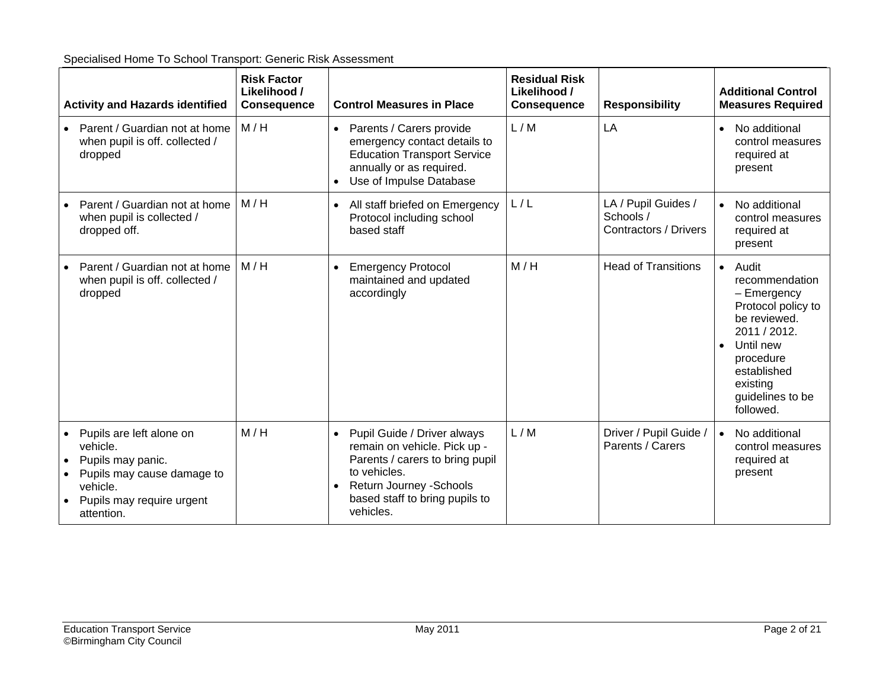|           | <b>Activity and Hazards identified</b>                                                                                                         | <b>Risk Factor</b><br>Likelihood /<br><b>Consequence</b> | <b>Control Measures in Place</b>                                                                                                                                                                       | <b>Residual Risk</b><br>Likelihood /<br><b>Consequence</b> | <b>Responsibility</b>                                            | <b>Additional Control</b><br><b>Measures Required</b>                                                                                                                                             |
|-----------|------------------------------------------------------------------------------------------------------------------------------------------------|----------------------------------------------------------|--------------------------------------------------------------------------------------------------------------------------------------------------------------------------------------------------------|------------------------------------------------------------|------------------------------------------------------------------|---------------------------------------------------------------------------------------------------------------------------------------------------------------------------------------------------|
|           | Parent / Guardian not at home<br>when pupil is off. collected /<br>dropped                                                                     | M/H                                                      | Parents / Carers provide<br>$\bullet$<br>emergency contact details to<br><b>Education Transport Service</b><br>annually or as required.<br>Use of Impulse Database                                     | L/M                                                        | LA                                                               | No additional<br>$\bullet$<br>control measures<br>required at<br>present                                                                                                                          |
|           | Parent / Guardian not at home<br>when pupil is collected /<br>dropped off.                                                                     | M/H                                                      | All staff briefed on Emergency<br>$\bullet$<br>Protocol including school<br>based staff                                                                                                                | L/L                                                        | LA / Pupil Guides /<br>Schools /<br><b>Contractors / Drivers</b> | No additional<br>$\bullet$<br>control measures<br>required at<br>present                                                                                                                          |
|           | Parent / Guardian not at home<br>when pupil is off. collected /<br>dropped                                                                     | M/H                                                      | <b>Emergency Protocol</b><br>$\bullet$<br>maintained and updated<br>accordingly                                                                                                                        | M/H                                                        | <b>Head of Transitions</b>                                       | • Audit<br>recommendation<br>- Emergency<br>Protocol policy to<br>be reviewed.<br>2011 / 2012.<br>Until new<br>$\bullet$<br>procedure<br>established<br>existing<br>guidelines to be<br>followed. |
| $\bullet$ | Pupils are left alone on<br>vehicle.<br>Pupils may panic.<br>Pupils may cause damage to<br>vehicle.<br>Pupils may require urgent<br>attention. | M/H                                                      | Pupil Guide / Driver always<br>$\bullet$<br>remain on vehicle. Pick up -<br>Parents / carers to bring pupil<br>to vehicles.<br>Return Journey - Schools<br>based staff to bring pupils to<br>vehicles. | L/M                                                        | Driver / Pupil Guide /<br>Parents / Carers                       | No additional<br>$\bullet$<br>control measures<br>required at<br>present                                                                                                                          |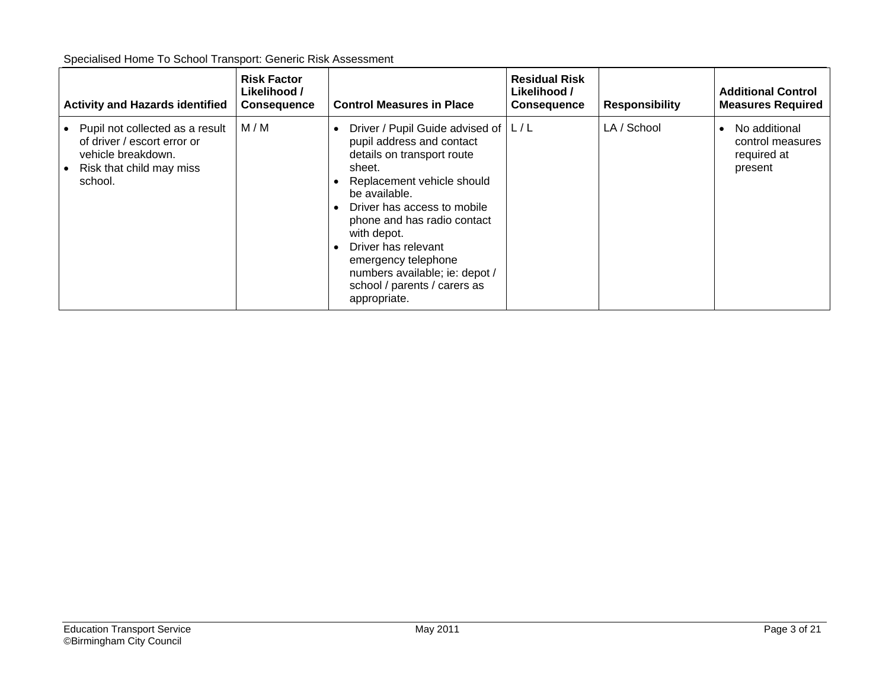| Specialised Home To School Transport: Generic Risk Assessment |
|---------------------------------------------------------------|
|---------------------------------------------------------------|

| <b>Activity and Hazards identified</b>                                                                                      | <b>Risk Factor</b><br>Likelihood /<br><b>Consequence</b> | <b>Control Measures in Place</b>                                                                                                                                                                                                                                                                                                                                         | <b>Residual Risk</b><br>Likelihood /<br><b>Consequence</b> | <b>Responsibility</b> | <b>Additional Control</b><br><b>Measures Required</b>       |
|-----------------------------------------------------------------------------------------------------------------------------|----------------------------------------------------------|--------------------------------------------------------------------------------------------------------------------------------------------------------------------------------------------------------------------------------------------------------------------------------------------------------------------------------------------------------------------------|------------------------------------------------------------|-----------------------|-------------------------------------------------------------|
| Pupil not collected as a result<br>of driver / escort error or<br>vehicle breakdown.<br>Risk that child may miss<br>school. | M/M                                                      | Driver / Pupil Guide advised of   L / L<br>pupil address and contact<br>details on transport route<br>sheet.<br>Replacement vehicle should<br>be available.<br>Driver has access to mobile<br>phone and has radio contact<br>with depot.<br>Driver has relevant<br>emergency telephone<br>numbers available; ie: depot /<br>school / parents / carers as<br>appropriate. |                                                            | LA / School           | No additional<br>control measures<br>required at<br>present |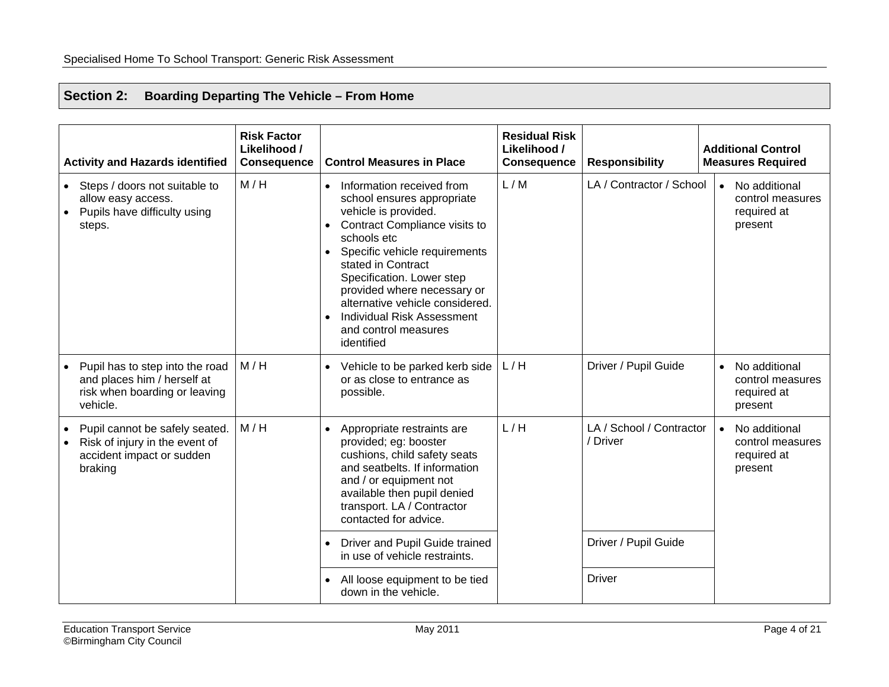## <span id="page-4-0"></span>**Section 2: Boarding Departing The Vehicle – From Home**

| <b>Activity and Hazards identified</b>                                                                      | <b>Risk Factor</b><br>Likelihood /<br><b>Consequence</b> | <b>Control Measures in Place</b>                                                                                                                                                                                                                                                                                                                                 | <b>Residual Risk</b><br>Likelihood /<br><b>Consequence</b> | <b>Responsibility</b>                | <b>Additional Control</b><br><b>Measures Required</b>                    |
|-------------------------------------------------------------------------------------------------------------|----------------------------------------------------------|------------------------------------------------------------------------------------------------------------------------------------------------------------------------------------------------------------------------------------------------------------------------------------------------------------------------------------------------------------------|------------------------------------------------------------|--------------------------------------|--------------------------------------------------------------------------|
| • Steps / doors not suitable to<br>allow easy access.<br>Pupils have difficulty using<br>steps.             | M/H                                                      | Information received from<br>school ensures appropriate<br>vehicle is provided.<br>Contract Compliance visits to<br>schools etc<br>Specific vehicle requirements<br>stated in Contract<br>Specification. Lower step<br>provided where necessary or<br>alternative vehicle considered.<br><b>Individual Risk Assessment</b><br>and control measures<br>identified | L/M                                                        | LA / Contractor / School             | No additional<br>$\bullet$<br>control measures<br>required at<br>present |
| Pupil has to step into the road<br>and places him / herself at<br>risk when boarding or leaving<br>vehicle. | M/H                                                      | Vehicle to be parked kerb side<br>or as close to entrance as<br>possible.                                                                                                                                                                                                                                                                                        | L/H                                                        | Driver / Pupil Guide                 | No additional<br>$\bullet$<br>control measures<br>required at<br>present |
| Pupil cannot be safely seated.<br>Risk of injury in the event of<br>accident impact or sudden<br>braking    | M/H                                                      | Appropriate restraints are<br>provided; eg: booster<br>cushions, child safety seats<br>and seatbelts. If information<br>and / or equipment not<br>available then pupil denied<br>transport. LA / Contractor<br>contacted for advice.                                                                                                                             | L/H                                                        | LA / School / Contractor<br>/ Driver | No additional<br>$\bullet$<br>control measures<br>required at<br>present |
|                                                                                                             |                                                          | Driver and Pupil Guide trained<br>in use of vehicle restraints.                                                                                                                                                                                                                                                                                                  |                                                            | Driver / Pupil Guide                 |                                                                          |
|                                                                                                             |                                                          | All loose equipment to be tied<br>down in the vehicle.                                                                                                                                                                                                                                                                                                           |                                                            | <b>Driver</b>                        |                                                                          |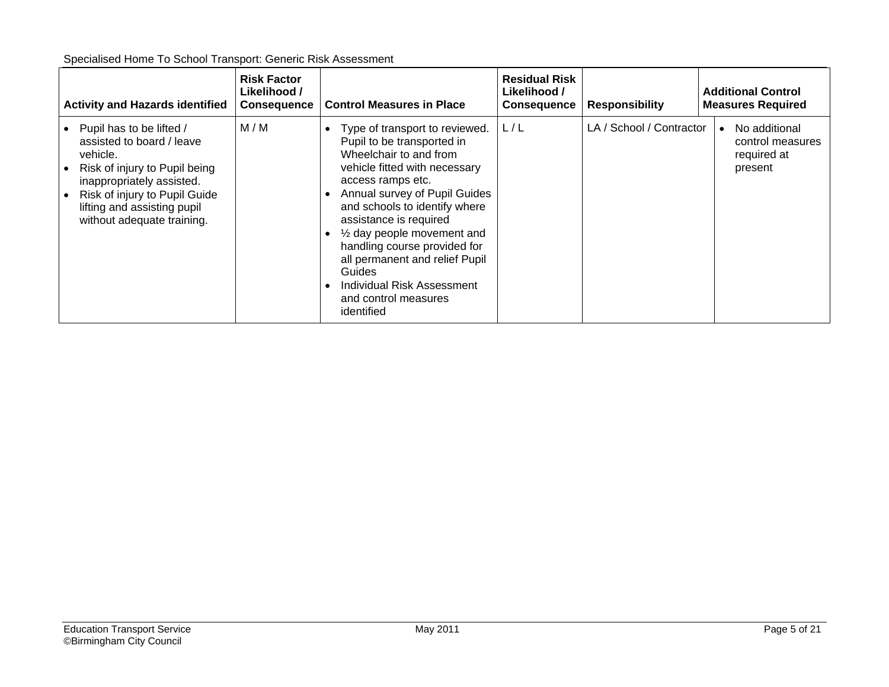| Specialised Home To School Transport: Generic Risk Assessment |
|---------------------------------------------------------------|
|---------------------------------------------------------------|

| <b>Activity and Hazards identified</b>                                                                                                                                                                                        | <b>Risk Factor</b><br>Likelihood /<br><b>Consequence</b> | <b>Control Measures in Place</b>                                                                                                                                                                                                                                                                                                                                                                                                         | <b>Residual Risk</b><br>Likelihood /<br><b>Consequence</b> | <b>Responsibility</b>    | <b>Additional Control</b><br><b>Measures Required</b>       |
|-------------------------------------------------------------------------------------------------------------------------------------------------------------------------------------------------------------------------------|----------------------------------------------------------|------------------------------------------------------------------------------------------------------------------------------------------------------------------------------------------------------------------------------------------------------------------------------------------------------------------------------------------------------------------------------------------------------------------------------------------|------------------------------------------------------------|--------------------------|-------------------------------------------------------------|
| Pupil has to be lifted /<br>assisted to board / leave<br>vehicle.<br>Risk of injury to Pupil being<br>inappropriately assisted.<br>Risk of injury to Pupil Guide<br>lifting and assisting pupil<br>without adequate training. | M/M                                                      | Type of transport to reviewed.<br>Pupil to be transported in<br>Wheelchair to and from<br>vehicle fitted with necessary<br>access ramps etc.<br>Annual survey of Pupil Guides<br>and schools to identify where<br>assistance is required<br>$\frac{1}{2}$ day people movement and<br>handling course provided for<br>all permanent and relief Pupil<br><b>Guides</b><br>Individual Risk Assessment<br>and control measures<br>identified | L/L                                                        | LA / School / Contractor | No additional<br>control measures<br>required at<br>present |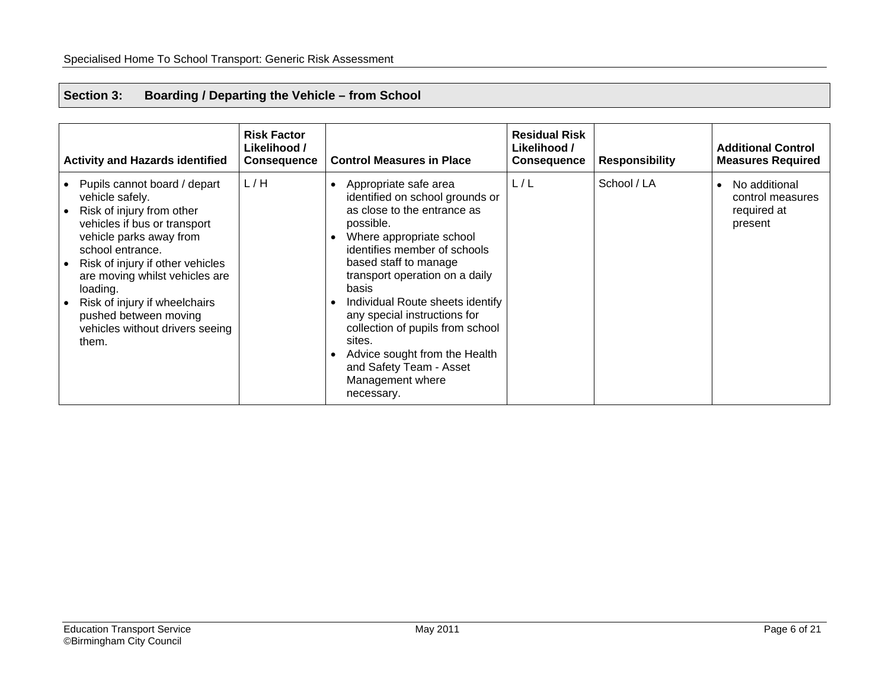#### <span id="page-6-0"></span>**Section 3: Boarding / Departing the Vehicle – from School**

| <b>Activity and Hazards identified</b>                                                                                                                                                                                                                                                                                                              | <b>Risk Factor</b><br>Likelihood /<br><b>Consequence</b> | <b>Control Measures in Place</b>                                                                                                                                                                                                                                                                                                                                                                                                                                  | <b>Residual Risk</b><br>Likelihood /<br><b>Consequence</b> | <b>Responsibility</b> | <b>Additional Control</b><br><b>Measures Required</b>       |
|-----------------------------------------------------------------------------------------------------------------------------------------------------------------------------------------------------------------------------------------------------------------------------------------------------------------------------------------------------|----------------------------------------------------------|-------------------------------------------------------------------------------------------------------------------------------------------------------------------------------------------------------------------------------------------------------------------------------------------------------------------------------------------------------------------------------------------------------------------------------------------------------------------|------------------------------------------------------------|-----------------------|-------------------------------------------------------------|
| Pupils cannot board / depart<br>vehicle safely.<br>Risk of injury from other<br>vehicles if bus or transport<br>vehicle parks away from<br>school entrance.<br>Risk of injury if other vehicles<br>are moving whilst vehicles are<br>loading.<br>Risk of injury if wheelchairs<br>pushed between moving<br>vehicles without drivers seeing<br>them. | L/H                                                      | Appropriate safe area<br>$\bullet$<br>identified on school grounds or<br>as close to the entrance as<br>possible.<br>Where appropriate school<br>identifies member of schools<br>based staff to manage<br>transport operation on a daily<br>basis<br>Individual Route sheets identify<br>any special instructions for<br>collection of pupils from school<br>sites.<br>Advice sought from the Health<br>and Safety Team - Asset<br>Management where<br>necessary. | L/L                                                        | School / LA           | No additional<br>control measures<br>required at<br>present |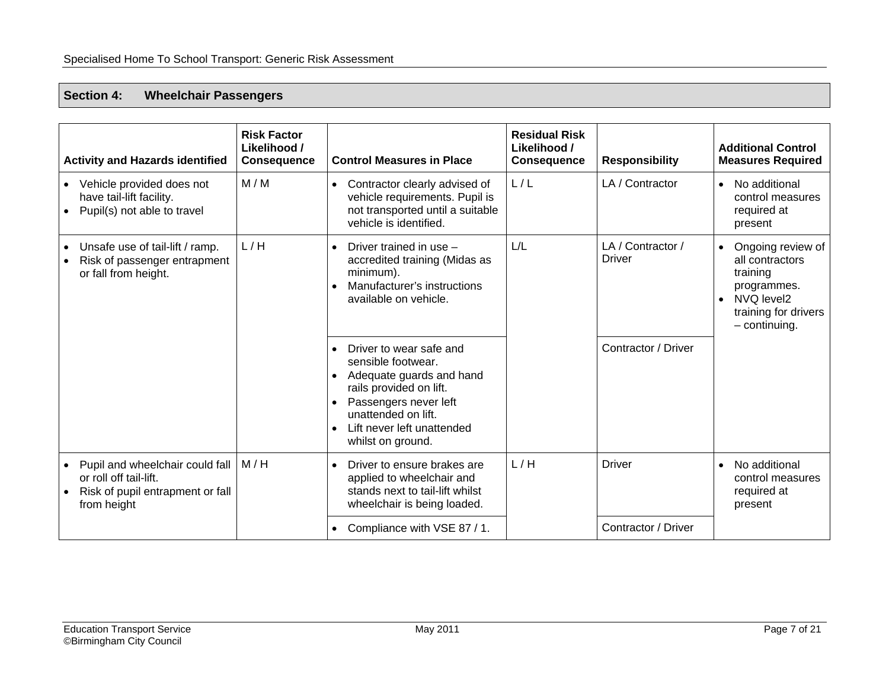#### <span id="page-7-0"></span>**Section 4: Wheelchair Passengers**

| <b>Activity and Hazards identified</b>                                                                       | <b>Risk Factor</b><br>Likelihood /<br><b>Consequence</b> | <b>Control Measures in Place</b>                                                                                                                                                                                     | <b>Residual Risk</b><br>Likelihood /<br><b>Consequence</b> | <b>Responsibility</b>              | <b>Additional Control</b><br><b>Measures Required</b>                                                                                 |
|--------------------------------------------------------------------------------------------------------------|----------------------------------------------------------|----------------------------------------------------------------------------------------------------------------------------------------------------------------------------------------------------------------------|------------------------------------------------------------|------------------------------------|---------------------------------------------------------------------------------------------------------------------------------------|
| Vehicle provided does not<br>have tail-lift facility.<br>Pupil(s) not able to travel                         | M/M                                                      | • Contractor clearly advised of<br>vehicle requirements. Pupil is<br>not transported until a suitable<br>vehicle is identified.                                                                                      | L/L                                                        | LA / Contractor                    | No additional<br>$\bullet$<br>control measures<br>required at<br>present                                                              |
| Unsafe use of tail-lift / ramp.<br>Risk of passenger entrapment<br>or fall from height.                      | L/H                                                      | Driver trained in use -<br>$\bullet$<br>accredited training (Midas as<br>minimum).<br>Manufacturer's instructions<br>available on vehicle.                                                                           | L/L                                                        | LA / Contractor /<br><b>Driver</b> | Ongoing review of<br>all contractors<br>training<br>programmes.<br>NVQ level2<br>$\bullet$<br>training for drivers<br>$-$ continuing. |
|                                                                                                              |                                                          | Driver to wear safe and<br>sensible footwear.<br>Adequate guards and hand<br>$\bullet$<br>rails provided on lift.<br>Passengers never left<br>unattended on lift.<br>Lift never left unattended<br>whilst on ground. |                                                            | Contractor / Driver                |                                                                                                                                       |
| Pupil and wheelchair could fall<br>or roll off tail-lift.<br>Risk of pupil entrapment or fall<br>from height | M/H                                                      | Driver to ensure brakes are<br>applied to wheelchair and<br>stands next to tail-lift whilst<br>wheelchair is being loaded.                                                                                           | L/H                                                        | <b>Driver</b>                      | No additional<br>$\bullet$<br>control measures<br>required at<br>present                                                              |
|                                                                                                              |                                                          | • Compliance with VSE 87 / 1.                                                                                                                                                                                        |                                                            | Contractor / Driver                |                                                                                                                                       |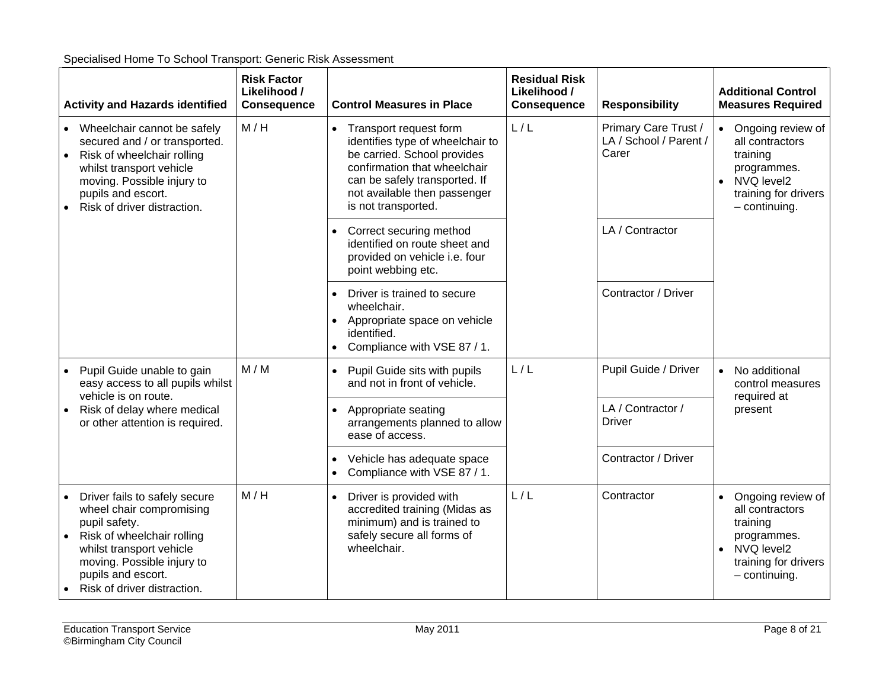| <b>Activity and Hazards identified</b>                                                                                                                                                                                               | <b>Risk Factor</b><br>Likelihood /<br><b>Consequence</b> | <b>Control Measures in Place</b>                                                                                                                                                                                               | <b>Residual Risk</b><br>Likelihood /<br><b>Consequence</b> | <b>Responsibility</b>                                   | <b>Additional Control</b><br><b>Measures Required</b>                                                                                              |
|--------------------------------------------------------------------------------------------------------------------------------------------------------------------------------------------------------------------------------------|----------------------------------------------------------|--------------------------------------------------------------------------------------------------------------------------------------------------------------------------------------------------------------------------------|------------------------------------------------------------|---------------------------------------------------------|----------------------------------------------------------------------------------------------------------------------------------------------------|
| • Wheelchair cannot be safely<br>secured and / or transported.<br>• Risk of wheelchair rolling<br>whilst transport vehicle<br>moving. Possible injury to<br>pupils and escort.<br>Risk of driver distraction.                        | M/H                                                      | Transport request form<br>$\bullet$<br>identifies type of wheelchair to<br>be carried. School provides<br>confirmation that wheelchair<br>can be safely transported. If<br>not available then passenger<br>is not transported. | L/L                                                        | Primary Care Trust /<br>LA / School / Parent /<br>Carer | Ongoing review of<br>$\bullet$<br>all contractors<br>training<br>programmes.<br>NVQ level2<br>$\bullet$<br>training for drivers<br>$-$ continuing. |
|                                                                                                                                                                                                                                      |                                                          | Correct securing method<br>identified on route sheet and<br>provided on vehicle i.e. four<br>point webbing etc.                                                                                                                |                                                            | LA / Contractor                                         |                                                                                                                                                    |
|                                                                                                                                                                                                                                      |                                                          | Driver is trained to secure<br>$\bullet$<br>wheelchair.<br>Appropriate space on vehicle<br>$\bullet$<br>identified.<br>Compliance with VSE 87 / 1.<br>$\bullet$                                                                |                                                            | Contractor / Driver                                     |                                                                                                                                                    |
| Pupil Guide unable to gain<br>easy access to all pupils whilst<br>vehicle is on route.                                                                                                                                               | M/M                                                      | Pupil Guide sits with pupils<br>$\bullet$<br>and not in front of vehicle.                                                                                                                                                      | L/L                                                        | Pupil Guide / Driver                                    | No additional<br>$\bullet$<br>control measures<br>required at<br>present                                                                           |
| Risk of delay where medical<br>or other attention is required.                                                                                                                                                                       |                                                          | Appropriate seating<br>$\bullet$<br>arrangements planned to allow<br>ease of access.                                                                                                                                           |                                                            | LA / Contractor /<br><b>Driver</b>                      |                                                                                                                                                    |
|                                                                                                                                                                                                                                      |                                                          | Vehicle has adequate space<br>$\bullet$<br>Compliance with VSE 87 / 1.<br>$\bullet$                                                                                                                                            |                                                            | Contractor / Driver                                     |                                                                                                                                                    |
| Driver fails to safely secure<br>$\bullet$<br>wheel chair compromising<br>pupil safety.<br>Risk of wheelchair rolling<br>whilst transport vehicle<br>moving. Possible injury to<br>pupils and escort.<br>Risk of driver distraction. | M/H                                                      | Driver is provided with<br>$\bullet$<br>accredited training (Midas as<br>minimum) and is trained to<br>safely secure all forms of<br>wheelchair.                                                                               | L/L                                                        | Contractor                                              | Ongoing review of<br>$\bullet$<br>all contractors<br>training<br>programmes.<br>NVQ level2<br>$\bullet$<br>training for drivers<br>$-$ continuing. |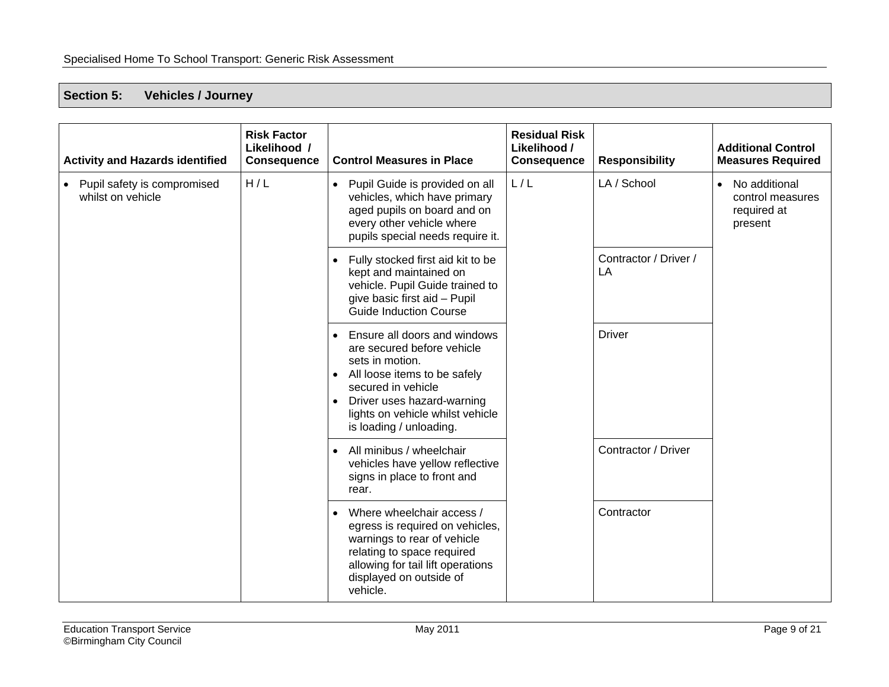#### <span id="page-9-0"></span>**Section 5: Vehicles / Journey**

| <b>Activity and Hazards identified</b>           | <b>Risk Factor</b><br>Likelihood /<br><b>Consequence</b> | <b>Control Measures in Place</b>                                                                                                                                                                                                                           | <b>Residual Risk</b><br>Likelihood /<br><b>Consequence</b> | <b>Responsibility</b>       | <b>Additional Control</b><br><b>Measures Required</b>         |
|--------------------------------------------------|----------------------------------------------------------|------------------------------------------------------------------------------------------------------------------------------------------------------------------------------------------------------------------------------------------------------------|------------------------------------------------------------|-----------------------------|---------------------------------------------------------------|
| Pupil safety is compromised<br>whilst on vehicle | H/L                                                      | Pupil Guide is provided on all<br>$\bullet$<br>vehicles, which have primary<br>aged pupils on board and on<br>every other vehicle where<br>pupils special needs require it.                                                                                | L/L                                                        | LA / School                 | • No additional<br>control measures<br>required at<br>present |
|                                                  |                                                          | Fully stocked first aid kit to be<br>kept and maintained on<br>vehicle. Pupil Guide trained to<br>give basic first aid - Pupil<br>Guide Induction Course                                                                                                   |                                                            | Contractor / Driver /<br>LA |                                                               |
|                                                  |                                                          | Ensure all doors and windows<br>are secured before vehicle<br>sets in motion.<br>All loose items to be safely<br>$\bullet$<br>secured in vehicle<br>Driver uses hazard-warning<br>$\bullet$<br>lights on vehicle whilst vehicle<br>is loading / unloading. |                                                            | <b>Driver</b>               |                                                               |
|                                                  |                                                          | All minibus / wheelchair<br>$\bullet$<br>vehicles have yellow reflective<br>signs in place to front and<br>rear.                                                                                                                                           |                                                            | Contractor / Driver         |                                                               |
|                                                  |                                                          | Where wheelchair access /<br>egress is required on vehicles,<br>warnings to rear of vehicle<br>relating to space required<br>allowing for tail lift operations<br>displayed on outside of<br>vehicle.                                                      |                                                            | Contractor                  |                                                               |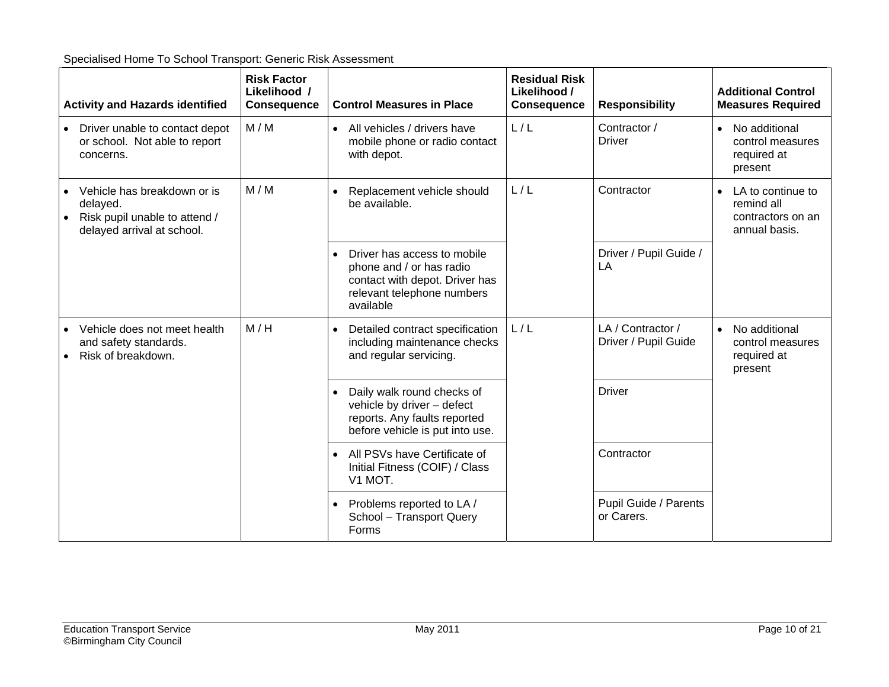| <b>Activity and Hazards identified</b>                                                                 | <b>Risk Factor</b><br>Likelihood /<br><b>Consequence</b> | <b>Control Measures in Place</b>                                                                                                     | <b>Residual Risk</b><br>Likelihood /<br><b>Consequence</b> | <b>Responsibility</b>                     | <b>Additional Control</b><br><b>Measures Required</b>                              |
|--------------------------------------------------------------------------------------------------------|----------------------------------------------------------|--------------------------------------------------------------------------------------------------------------------------------------|------------------------------------------------------------|-------------------------------------------|------------------------------------------------------------------------------------|
| Driver unable to contact depot<br>or school. Not able to report<br>concerns.                           | M/M                                                      | All vehicles / drivers have<br>mobile phone or radio contact<br>with depot.                                                          | L/L                                                        | Contractor /<br><b>Driver</b>             | • No additional<br>control measures<br>required at<br>present                      |
| Vehicle has breakdown or is<br>delayed.<br>Risk pupil unable to attend /<br>delayed arrival at school. | M/M                                                      | Replacement vehicle should<br>$\bullet$<br>be available.                                                                             | L/L                                                        | Contractor                                | LA to continue to<br>$\bullet$<br>remind all<br>contractors on an<br>annual basis. |
|                                                                                                        |                                                          | Driver has access to mobile<br>phone and / or has radio<br>contact with depot. Driver has<br>relevant telephone numbers<br>available |                                                            | Driver / Pupil Guide /<br>LA              |                                                                                    |
| Vehicle does not meet health<br>and safety standards.<br>Risk of breakdown.                            | M/H                                                      | Detailed contract specification<br>including maintenance checks<br>and regular servicing.                                            | L/L                                                        | LA / Contractor /<br>Driver / Pupil Guide | No additional<br>$\bullet$<br>control measures<br>required at<br>present           |
|                                                                                                        |                                                          | Daily walk round checks of<br>vehicle by driver - defect<br>reports. Any faults reported<br>before vehicle is put into use.          |                                                            | <b>Driver</b>                             |                                                                                    |
|                                                                                                        |                                                          | All PSVs have Certificate of<br>Initial Fitness (COIF) / Class<br>V1 MOT.                                                            |                                                            | Contractor                                |                                                                                    |
|                                                                                                        |                                                          | Problems reported to LA /<br>School - Transport Query<br>Forms                                                                       |                                                            | Pupil Guide / Parents<br>or Carers.       |                                                                                    |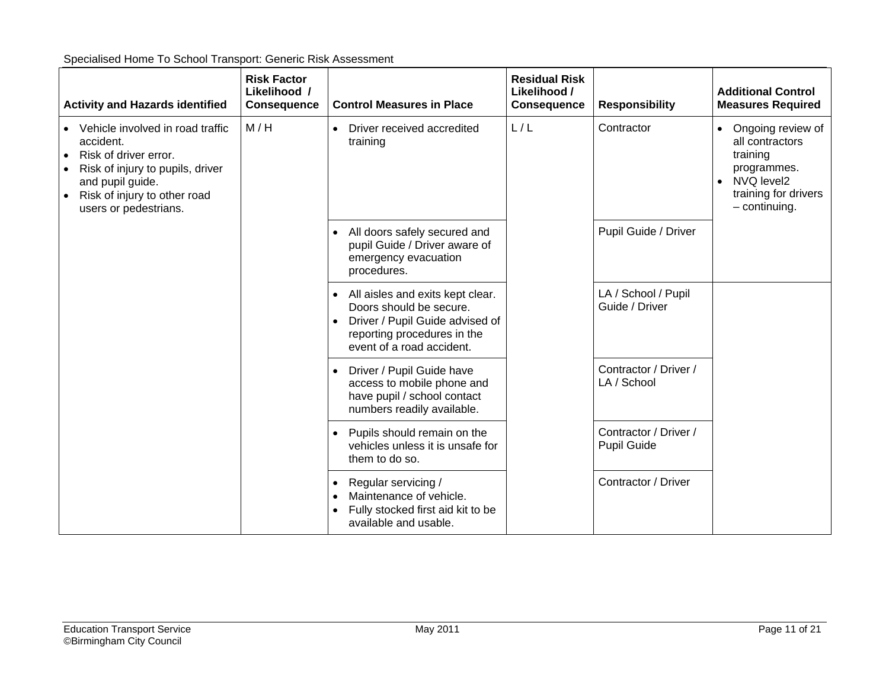| <b>Activity and Hazards identified</b>                                                                                                                                                  | <b>Risk Factor</b><br>Likelihood /<br><b>Consequence</b> | <b>Control Measures in Place</b>                                                                                                                                                     | <b>Residual Risk</b><br>Likelihood /<br><b>Consequence</b> | <b>Responsibility</b>                       | <b>Additional Control</b><br><b>Measures Required</b>                                                                                   |
|-----------------------------------------------------------------------------------------------------------------------------------------------------------------------------------------|----------------------------------------------------------|--------------------------------------------------------------------------------------------------------------------------------------------------------------------------------------|------------------------------------------------------------|---------------------------------------------|-----------------------------------------------------------------------------------------------------------------------------------------|
| Vehicle involved in road traffic<br>accident.<br>Risk of driver error.<br>Risk of injury to pupils, driver<br>and pupil guide.<br>Risk of injury to other road<br>users or pedestrians. | M/H                                                      | Driver received accredited<br>training                                                                                                                                               | L/L                                                        | Contractor                                  | • Ongoing review of<br>all contractors<br>training<br>programmes.<br>NVQ level2<br>$\bullet$<br>training for drivers<br>$-$ continuing. |
|                                                                                                                                                                                         |                                                          | All doors safely secured and<br>pupil Guide / Driver aware of<br>emergency evacuation<br>procedures.                                                                                 |                                                            | Pupil Guide / Driver                        |                                                                                                                                         |
|                                                                                                                                                                                         |                                                          | All aisles and exits kept clear.<br>$\bullet$<br>Doors should be secure.<br>Driver / Pupil Guide advised of<br>$\bullet$<br>reporting procedures in the<br>event of a road accident. |                                                            | LA / School / Pupil<br>Guide / Driver       |                                                                                                                                         |
|                                                                                                                                                                                         |                                                          | Driver / Pupil Guide have<br>access to mobile phone and<br>have pupil / school contact<br>numbers readily available.                                                                 |                                                            | Contractor / Driver /<br>LA / School        |                                                                                                                                         |
|                                                                                                                                                                                         |                                                          | Pupils should remain on the<br>vehicles unless it is unsafe for<br>them to do so.                                                                                                    |                                                            | Contractor / Driver /<br><b>Pupil Guide</b> |                                                                                                                                         |
|                                                                                                                                                                                         |                                                          | Regular servicing /<br>$\bullet$<br>Maintenance of vehicle.<br>$\bullet$<br>Fully stocked first aid kit to be<br>$\bullet$<br>available and usable.                                  |                                                            | Contractor / Driver                         |                                                                                                                                         |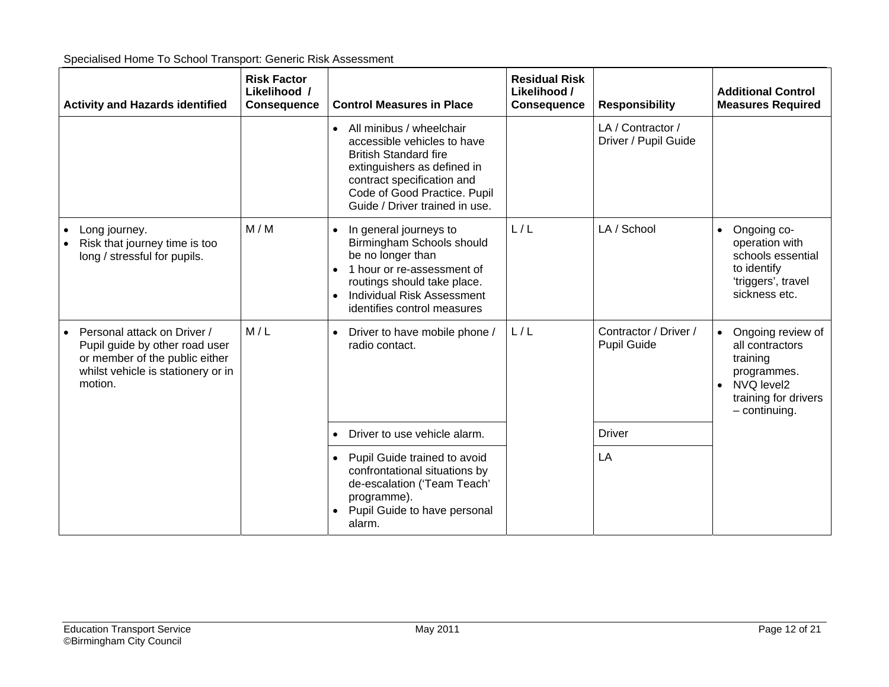| <b>Activity and Hazards identified</b>                                                                                                           | <b>Risk Factor</b><br>Likelihood /<br><b>Consequence</b> | <b>Control Measures in Place</b>                                                                                                                                                                                                                 | <b>Residual Risk</b><br>Likelihood /<br><b>Consequence</b> | <b>Responsibility</b>                       | <b>Additional Control</b><br><b>Measures Required</b>                                                                                   |
|--------------------------------------------------------------------------------------------------------------------------------------------------|----------------------------------------------------------|--------------------------------------------------------------------------------------------------------------------------------------------------------------------------------------------------------------------------------------------------|------------------------------------------------------------|---------------------------------------------|-----------------------------------------------------------------------------------------------------------------------------------------|
|                                                                                                                                                  |                                                          | All minibus / wheelchair<br>$\bullet$<br>accessible vehicles to have<br><b>British Standard fire</b><br>extinguishers as defined in<br>contract specification and<br>Code of Good Practice. Pupil<br>Guide / Driver trained in use.              |                                                            | LA / Contractor /<br>Driver / Pupil Guide   |                                                                                                                                         |
| Long journey.<br>Risk that journey time is too<br>long / stressful for pupils.                                                                   | M/M                                                      | In general journeys to<br>$\bullet$<br>Birmingham Schools should<br>be no longer than<br>1 hour or re-assessment of<br>$\bullet$<br>routings should take place.<br><b>Individual Risk Assessment</b><br>$\bullet$<br>identifies control measures | L/L                                                        | LA / School                                 | Ongoing co-<br>$\bullet$<br>operation with<br>schools essential<br>to identify<br>'triggers', travel<br>sickness etc.                   |
| Personal attack on Driver /<br>Pupil guide by other road user<br>or member of the public either<br>whilst vehicle is stationery or in<br>motion. | M/L                                                      | Driver to have mobile phone /<br>$\bullet$<br>radio contact.                                                                                                                                                                                     | L/L                                                        | Contractor / Driver /<br><b>Pupil Guide</b> | Ongoing review of<br>$\bullet$<br>all contractors<br>training<br>programmes.<br>• NVQ level2<br>training for drivers<br>$-$ continuing. |
|                                                                                                                                                  |                                                          | Driver to use vehicle alarm.                                                                                                                                                                                                                     |                                                            | <b>Driver</b>                               |                                                                                                                                         |
|                                                                                                                                                  |                                                          | Pupil Guide trained to avoid<br>confrontational situations by<br>de-escalation ('Team Teach'<br>programme).<br>Pupil Guide to have personal<br>alarm.                                                                                            |                                                            | LA                                          |                                                                                                                                         |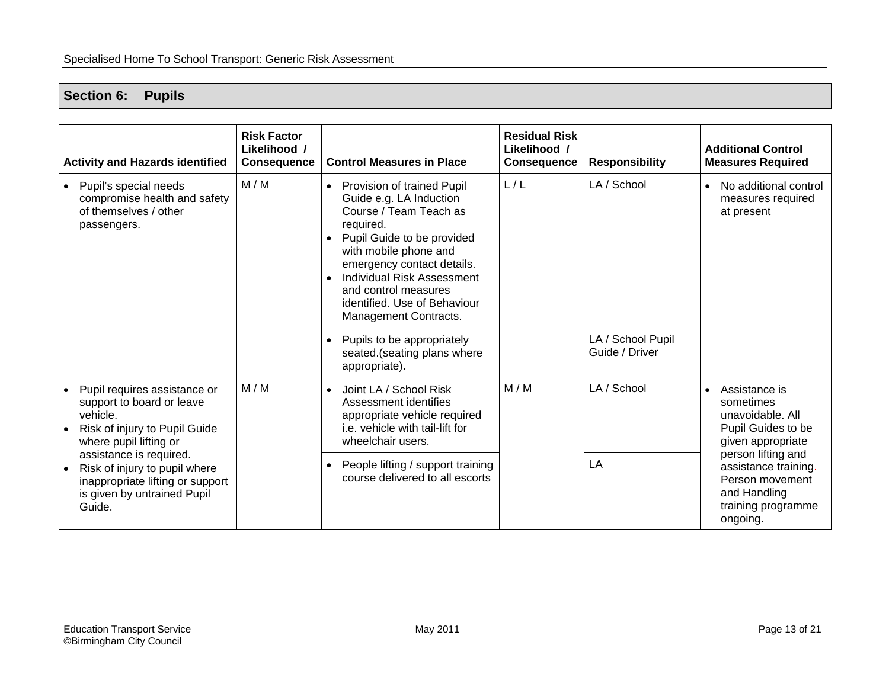# <span id="page-13-0"></span>**Section 6: Pupils**

| <b>Activity and Hazards identified</b>                                                                                                                                                                                                                                    | <b>Risk Factor</b><br>Likelihood /<br><b>Consequence</b> | <b>Control Measures in Place</b>                                                                                                                                                                                                                                                                                                                                                                   | <b>Residual Risk</b><br>Likelihood /<br><b>Consequence</b> | <b>Responsibility</b>                              | <b>Additional Control</b><br><b>Measures Required</b>                                                                                                                                                        |
|---------------------------------------------------------------------------------------------------------------------------------------------------------------------------------------------------------------------------------------------------------------------------|----------------------------------------------------------|----------------------------------------------------------------------------------------------------------------------------------------------------------------------------------------------------------------------------------------------------------------------------------------------------------------------------------------------------------------------------------------------------|------------------------------------------------------------|----------------------------------------------------|--------------------------------------------------------------------------------------------------------------------------------------------------------------------------------------------------------------|
| Pupil's special needs<br>compromise health and safety<br>of themselves / other<br>passengers.                                                                                                                                                                             | M/M                                                      | Provision of trained Pupil<br>$\bullet$<br>Guide e.g. LA Induction<br>Course / Team Teach as<br>required.<br>Pupil Guide to be provided<br>with mobile phone and<br>emergency contact details.<br><b>Individual Risk Assessment</b><br>and control measures<br>identified. Use of Behaviour<br>Management Contracts.<br>Pupils to be appropriately<br>seated.(seating plans where<br>appropriate). | L/L                                                        | LA / School<br>LA / School Pupil<br>Guide / Driver | No additional control<br>measures required<br>at present                                                                                                                                                     |
| Pupil requires assistance or<br>support to board or leave<br>vehicle.<br>Risk of injury to Pupil Guide<br>where pupil lifting or<br>assistance is required.<br>Risk of injury to pupil where<br>inappropriate lifting or support<br>is given by untrained Pupil<br>Guide. | M/M                                                      | Joint LA / School Risk<br>Assessment identifies<br>appropriate vehicle required<br>i.e. vehicle with tail-lift for<br>wheelchair users.<br>People lifting / support training<br>course delivered to all escorts                                                                                                                                                                                    | M/M                                                        | LA / School<br>LA                                  | Assistance is<br>sometimes<br>unavoidable. All<br>Pupil Guides to be<br>given appropriate<br>person lifting and<br>assistance training.<br>Person movement<br>and Handling<br>training programme<br>ongoing. |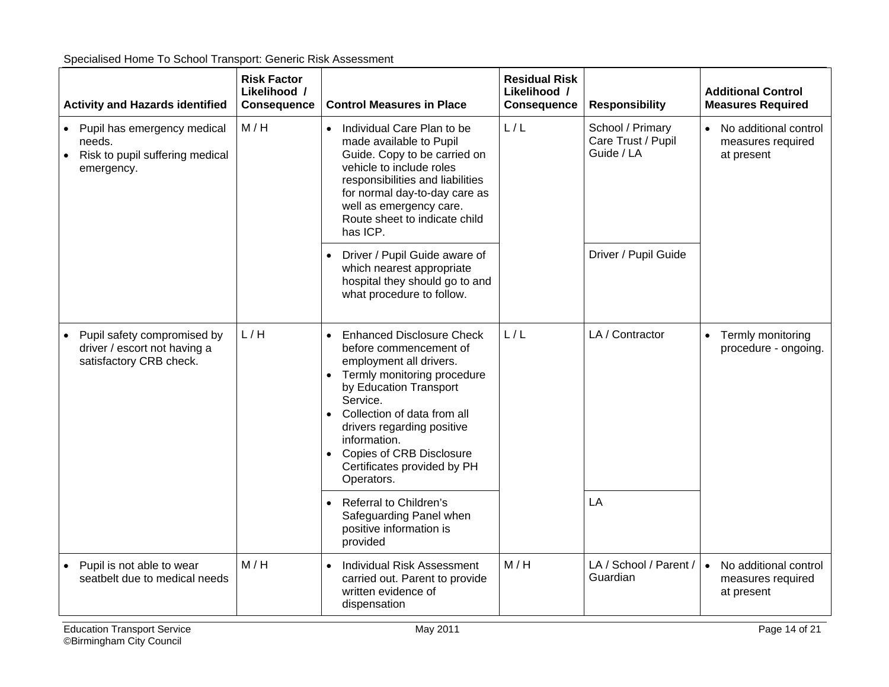| <b>Activity and Hazards identified</b>                                                                | <b>Risk Factor</b><br>Likelihood /<br><b>Consequence</b> | <b>Control Measures in Place</b>                                                                                                                                                                                                                                                                                                                        | <b>Residual Risk</b><br>Likelihood /<br><b>Consequence</b> | <b>Responsibility</b>                                | <b>Additional Control</b><br><b>Measures Required</b>                 |
|-------------------------------------------------------------------------------------------------------|----------------------------------------------------------|---------------------------------------------------------------------------------------------------------------------------------------------------------------------------------------------------------------------------------------------------------------------------------------------------------------------------------------------------------|------------------------------------------------------------|------------------------------------------------------|-----------------------------------------------------------------------|
| • Pupil has emergency medical<br>needs.<br>Risk to pupil suffering medical<br>$\bullet$<br>emergency. | M/H                                                      | Individual Care Plan to be<br>$\bullet$<br>made available to Pupil<br>Guide. Copy to be carried on<br>vehicle to include roles<br>responsibilities and liabilities<br>for normal day-to-day care as<br>well as emergency care.<br>Route sheet to indicate child<br>has ICP.                                                                             | L/L                                                        | School / Primary<br>Care Trust / Pupil<br>Guide / LA | • No additional control<br>measures required<br>at present            |
|                                                                                                       |                                                          | Driver / Pupil Guide aware of<br>which nearest appropriate<br>hospital they should go to and<br>what procedure to follow.                                                                                                                                                                                                                               |                                                            | Driver / Pupil Guide                                 |                                                                       |
| Pupil safety compromised by<br>driver / escort not having a<br>satisfactory CRB check.                | L/H                                                      | <b>Enhanced Disclosure Check</b><br>$\bullet$<br>before commencement of<br>employment all drivers.<br>Termly monitoring procedure<br>by Education Transport<br>Service.<br>Collection of data from all<br>$\bullet$<br>drivers regarding positive<br>information.<br>Copies of CRB Disclosure<br>$\bullet$<br>Certificates provided by PH<br>Operators. | L/L                                                        | LA / Contractor                                      | Termly monitoring<br>$\bullet$<br>procedure - ongoing.                |
|                                                                                                       |                                                          | Referral to Children's<br>$\bullet$<br>Safeguarding Panel when<br>positive information is<br>provided                                                                                                                                                                                                                                                   |                                                            | LA                                                   |                                                                       |
| Pupil is not able to wear<br>seatbelt due to medical needs                                            | M/H                                                      | <b>Individual Risk Assessment</b><br>$\bullet$<br>carried out. Parent to provide<br>written evidence of<br>dispensation                                                                                                                                                                                                                                 | M/H                                                        | LA / School / Parent /<br>Guardian                   | No additional control<br>$\bullet$<br>measures required<br>at present |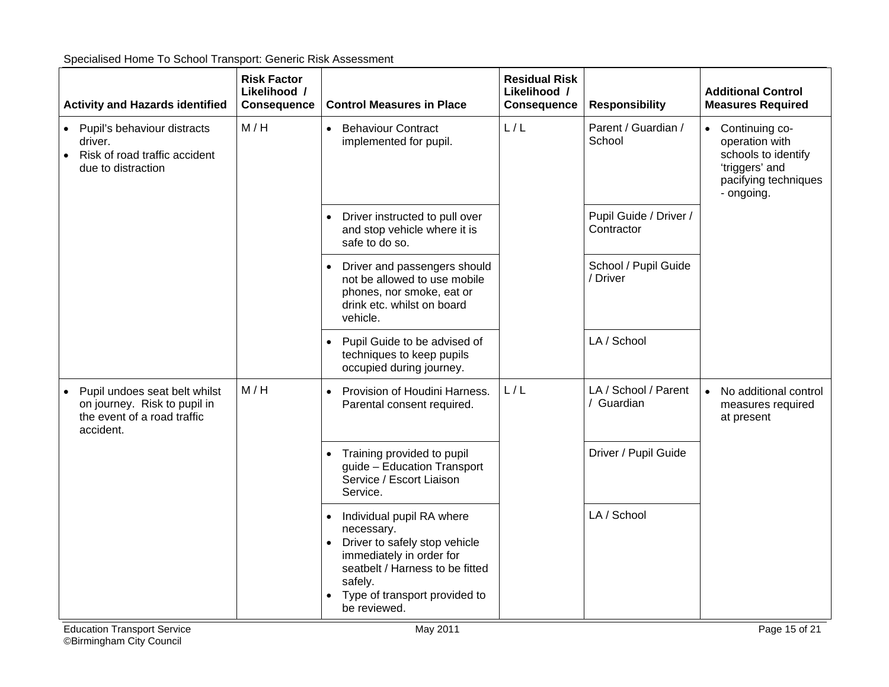| Specialised Home To School Transport: Generic Risk Assessment |  |  |
|---------------------------------------------------------------|--|--|
|                                                               |  |  |

| <b>Activity and Hazards identified</b>                                                                    | <b>Risk Factor</b><br>Likelihood /<br><b>Consequence</b> | <b>Control Measures in Place</b>                                                                                                                                                                                 | <b>Residual Risk</b><br>Likelihood /<br><b>Consequence</b> | <b>Responsibility</b>                | <b>Additional Control</b><br><b>Measures Required</b>                                                             |
|-----------------------------------------------------------------------------------------------------------|----------------------------------------------------------|------------------------------------------------------------------------------------------------------------------------------------------------------------------------------------------------------------------|------------------------------------------------------------|--------------------------------------|-------------------------------------------------------------------------------------------------------------------|
| Pupil's behaviour distracts<br>driver.<br>Risk of road traffic accident<br>due to distraction             | M/H                                                      | <b>Behaviour Contract</b><br>$\bullet$<br>implemented for pupil.                                                                                                                                                 | L/L                                                        | Parent / Guardian /<br>School        | • Continuing co-<br>operation with<br>schools to identify<br>'triggers' and<br>pacifying techniques<br>- ongoing. |
|                                                                                                           |                                                          | Driver instructed to pull over<br>and stop vehicle where it is<br>safe to do so.                                                                                                                                 |                                                            | Pupil Guide / Driver /<br>Contractor |                                                                                                                   |
|                                                                                                           |                                                          | Driver and passengers should<br>not be allowed to use mobile<br>phones, nor smoke, eat or<br>drink etc. whilst on board<br>vehicle.                                                                              |                                                            | School / Pupil Guide<br>/ Driver     |                                                                                                                   |
|                                                                                                           |                                                          | Pupil Guide to be advised of<br>techniques to keep pupils<br>occupied during journey.                                                                                                                            |                                                            | LA / School                          |                                                                                                                   |
| Pupil undoes seat belt whilst<br>on journey. Risk to pupil in<br>the event of a road traffic<br>accident. | M/H                                                      | Provision of Houdini Harness.<br>$\bullet$<br>Parental consent required.                                                                                                                                         | L/L                                                        | LA / School / Parent<br>/ Guardian   | No additional control<br>measures required<br>at present                                                          |
|                                                                                                           |                                                          | Training provided to pupil<br>guide - Education Transport<br>Service / Escort Liaison<br>Service.                                                                                                                |                                                            | Driver / Pupil Guide                 |                                                                                                                   |
|                                                                                                           |                                                          | Individual pupil RA where<br>necessary.<br>Driver to safely stop vehicle<br>$\bullet$<br>immediately in order for<br>seatbelt / Harness to be fitted<br>safely.<br>Type of transport provided to<br>be reviewed. |                                                            | LA / School                          |                                                                                                                   |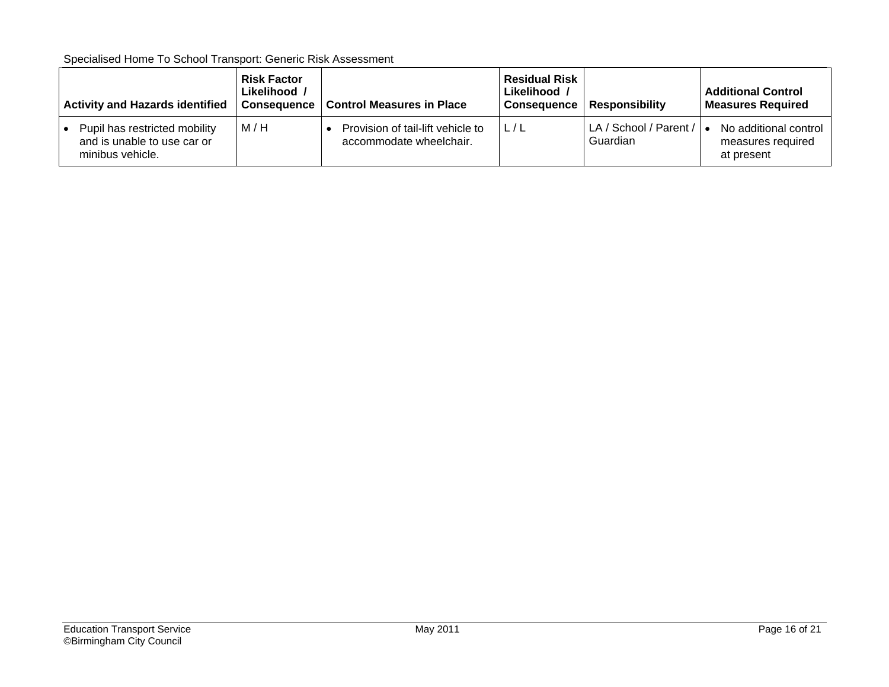| <b>Activity and Hazards identified</b>                                           | <b>Risk Factor</b><br>Likelihood /<br><b>Consequence</b> | <b>Control Measures in Place</b>                             | <b>Residual Risk</b><br>Likelihood /<br>Consequence | <b>Responsibility</b>                        | <b>Additional Control</b><br><b>Measures Required</b>    |
|----------------------------------------------------------------------------------|----------------------------------------------------------|--------------------------------------------------------------|-----------------------------------------------------|----------------------------------------------|----------------------------------------------------------|
| Pupil has restricted mobility<br>and is unable to use car or<br>minibus vehicle. | M/H                                                      | Provision of tail-lift vehicle to<br>accommodate wheelchair. | L/L                                                 | LA / School / Parent / $\bullet$<br>Guardian | No additional control<br>measures required<br>at present |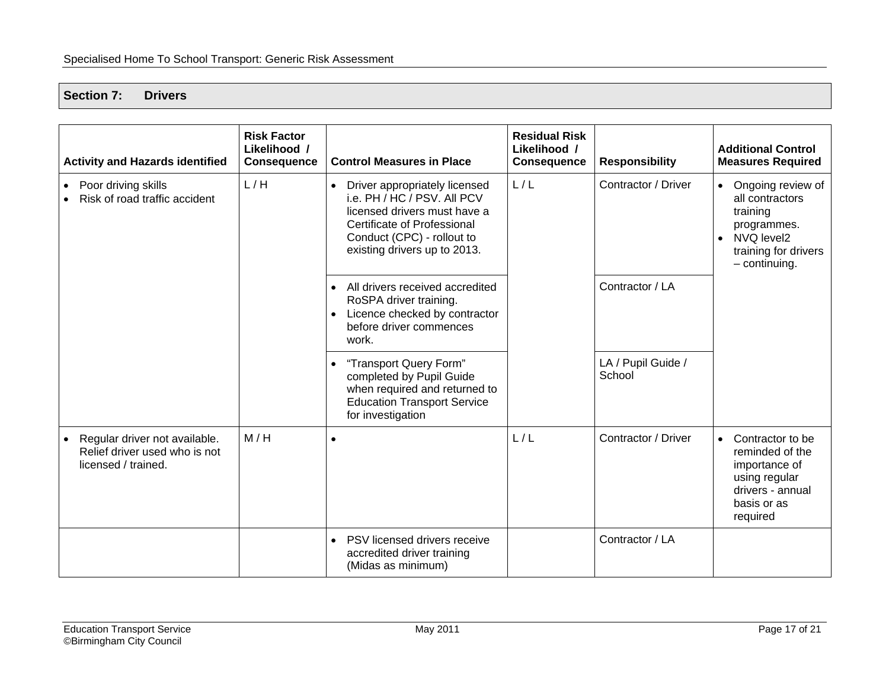<span id="page-17-0"></span>**Section 7: Drivers** 

| <b>Activity and Hazards identified</b>                                                | <b>Risk Factor</b><br>Likelihood /<br><b>Consequence</b> | <b>Control Measures in Place</b>                                                                                                                                                                              | <b>Residual Risk</b><br>Likelihood /<br><b>Consequence</b> | <b>Responsibility</b>        | <b>Additional Control</b><br><b>Measures Required</b>                                                                             |
|---------------------------------------------------------------------------------------|----------------------------------------------------------|---------------------------------------------------------------------------------------------------------------------------------------------------------------------------------------------------------------|------------------------------------------------------------|------------------------------|-----------------------------------------------------------------------------------------------------------------------------------|
| Poor driving skills<br>٠<br>Risk of road traffic accident                             | L/H                                                      | Driver appropriately licensed<br>$\bullet$<br>i.e. PH / HC / PSV. All PCV<br>licensed drivers must have a<br><b>Certificate of Professional</b><br>Conduct (CPC) - rollout to<br>existing drivers up to 2013. | L/L                                                        | Contractor / Driver          | • Ongoing review of<br>all contractors<br>training<br>programmes.<br>• NVQ level2<br>training for drivers<br>$-$ continuing.      |
|                                                                                       |                                                          | All drivers received accredited<br>$\bullet$<br>RoSPA driver training.<br>Licence checked by contractor<br>$\bullet$<br>before driver commences<br>work.                                                      |                                                            | Contractor / LA              |                                                                                                                                   |
|                                                                                       |                                                          | "Transport Query Form"<br>$\bullet$<br>completed by Pupil Guide<br>when required and returned to<br><b>Education Transport Service</b><br>for investigation                                                   |                                                            | LA / Pupil Guide /<br>School |                                                                                                                                   |
| Regular driver not available.<br>Relief driver used who is not<br>licensed / trained. | M/H                                                      | $\bullet$                                                                                                                                                                                                     | L/L                                                        | Contractor / Driver          | Contractor to be<br>$\bullet$<br>reminded of the<br>importance of<br>using regular<br>drivers - annual<br>basis or as<br>required |
|                                                                                       |                                                          | PSV licensed drivers receive<br>accredited driver training<br>(Midas as minimum)                                                                                                                              |                                                            | Contractor / LA              |                                                                                                                                   |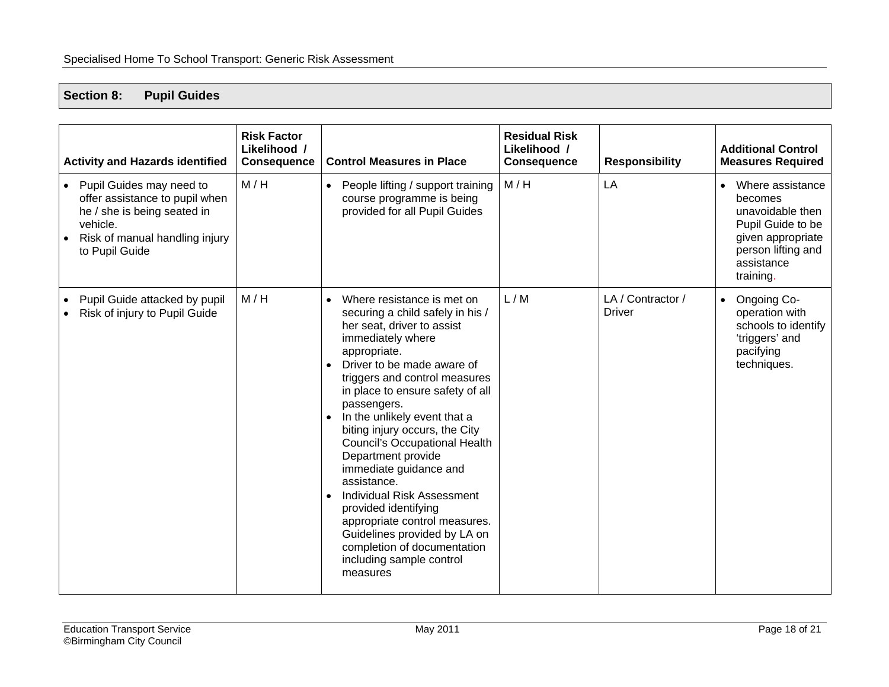#### <span id="page-18-0"></span>**Section 8: Pupil Guides**

| <b>Activity and Hazards identified</b>                                                                                                                      | <b>Risk Factor</b><br>Likelihood /<br><b>Consequence</b> | <b>Control Measures in Place</b>                                                                                                                                                                                                                                                                                                                                                                                                                                                                                                                                                                                                                            | <b>Residual Risk</b><br>Likelihood /<br><b>Consequence</b> | <b>Responsibility</b>              | <b>Additional Control</b><br><b>Measures Required</b>                                                                                                   |
|-------------------------------------------------------------------------------------------------------------------------------------------------------------|----------------------------------------------------------|-------------------------------------------------------------------------------------------------------------------------------------------------------------------------------------------------------------------------------------------------------------------------------------------------------------------------------------------------------------------------------------------------------------------------------------------------------------------------------------------------------------------------------------------------------------------------------------------------------------------------------------------------------------|------------------------------------------------------------|------------------------------------|---------------------------------------------------------------------------------------------------------------------------------------------------------|
| • Pupil Guides may need to<br>offer assistance to pupil when<br>he / she is being seated in<br>vehicle.<br>Risk of manual handling injury<br>to Pupil Guide | M/H                                                      | People lifting / support training<br>$\bullet$<br>course programme is being<br>provided for all Pupil Guides                                                                                                                                                                                                                                                                                                                                                                                                                                                                                                                                                | M/H                                                        | LA                                 | Where assistance<br>$\bullet$<br>becomes<br>unavoidable then<br>Pupil Guide to be<br>given appropriate<br>person lifting and<br>assistance<br>training. |
| Pupil Guide attacked by pupil<br>Risk of injury to Pupil Guide                                                                                              | M/H                                                      | Where resistance is met on<br>securing a child safely in his /<br>her seat, driver to assist<br>immediately where<br>appropriate.<br>Driver to be made aware of<br>$\bullet$<br>triggers and control measures<br>in place to ensure safety of all<br>passengers.<br>In the unlikely event that a<br>biting injury occurs, the City<br><b>Council's Occupational Health</b><br>Department provide<br>immediate guidance and<br>assistance.<br><b>Individual Risk Assessment</b><br>$\bullet$<br>provided identifying<br>appropriate control measures.<br>Guidelines provided by LA on<br>completion of documentation<br>including sample control<br>measures | L/M                                                        | LA / Contractor /<br><b>Driver</b> | Ongoing Co-<br>$\bullet$<br>operation with<br>schools to identify<br>'triggers' and<br>pacifying<br>techniques.                                         |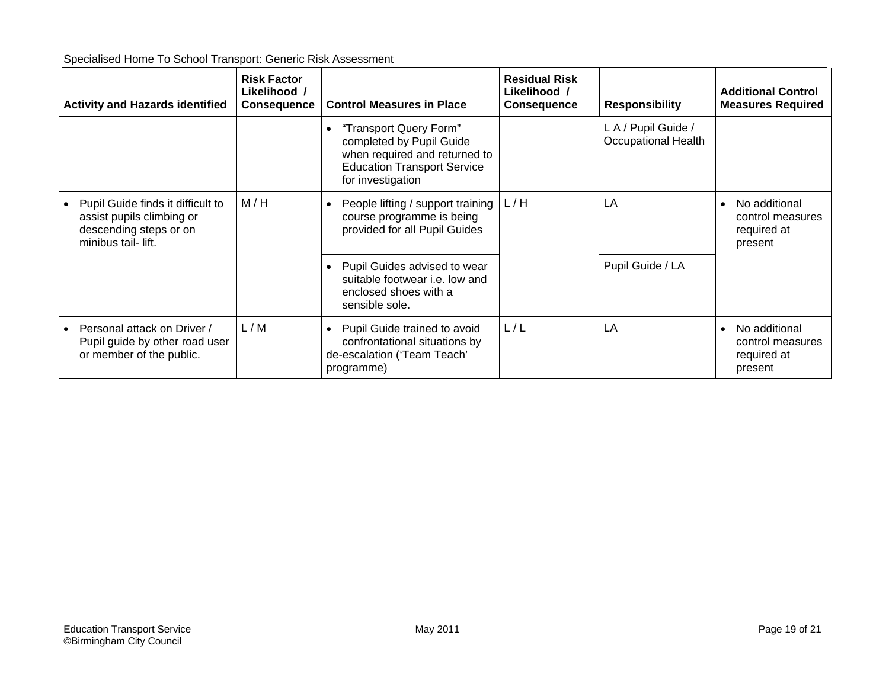| <b>Activity and Hazards identified</b>                                                                         | <b>Risk Factor</b><br>Likelihood /<br><b>Consequence</b> | <b>Control Measures in Place</b>                                                                                                               | <b>Residual Risk</b><br>Likelihood /<br><b>Consequence</b> | <b>Responsibility</b>                             | <b>Additional Control</b><br><b>Measures Required</b>       |
|----------------------------------------------------------------------------------------------------------------|----------------------------------------------------------|------------------------------------------------------------------------------------------------------------------------------------------------|------------------------------------------------------------|---------------------------------------------------|-------------------------------------------------------------|
|                                                                                                                |                                                          | "Transport Query Form"<br>completed by Pupil Guide<br>when required and returned to<br><b>Education Transport Service</b><br>for investigation |                                                            | L A / Pupil Guide /<br><b>Occupational Health</b> |                                                             |
| Pupil Guide finds it difficult to<br>assist pupils climbing or<br>descending steps or on<br>minibus tail-lift. | M/H                                                      | People lifting / support training<br>course programme is being<br>provided for all Pupil Guides                                                | L/H                                                        | LA                                                | No additional<br>control measures<br>required at<br>present |
|                                                                                                                |                                                          | Pupil Guides advised to wear<br>suitable footwear i.e. low and<br>enclosed shoes with a<br>sensible sole.                                      |                                                            | Pupil Guide / LA                                  |                                                             |
| Personal attack on Driver /<br>Pupil guide by other road user<br>or member of the public.                      | L/M                                                      | Pupil Guide trained to avoid<br>confrontational situations by<br>de-escalation ('Team Teach'<br>programme)                                     | L/L                                                        | LA                                                | No additional<br>control measures<br>required at<br>present |